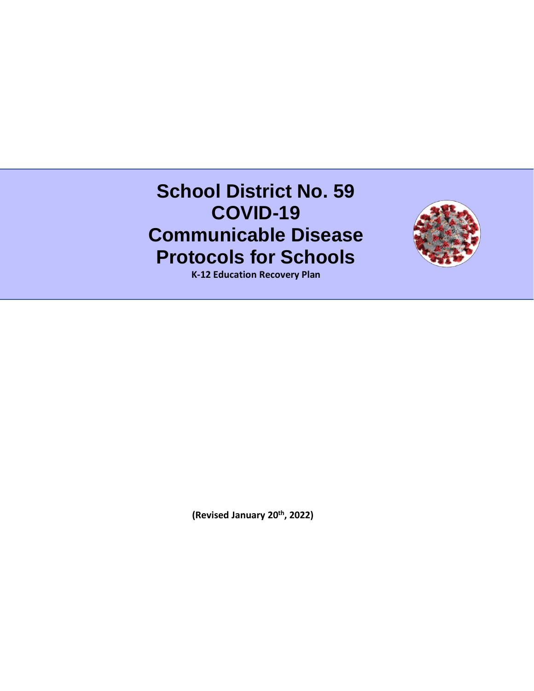# **School District No. 59 COVID-19 Communicable Disease Protocols for Schools**



**K-12 Education Recovery Plan** 

**(Revised January 20th, 2022)**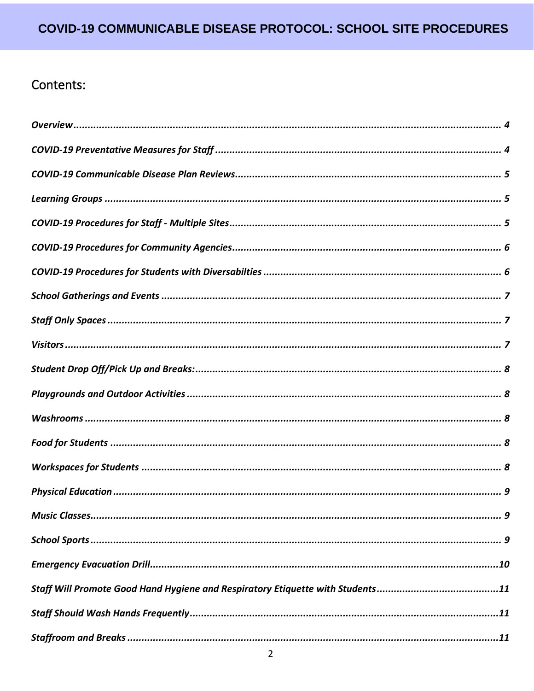# Contents: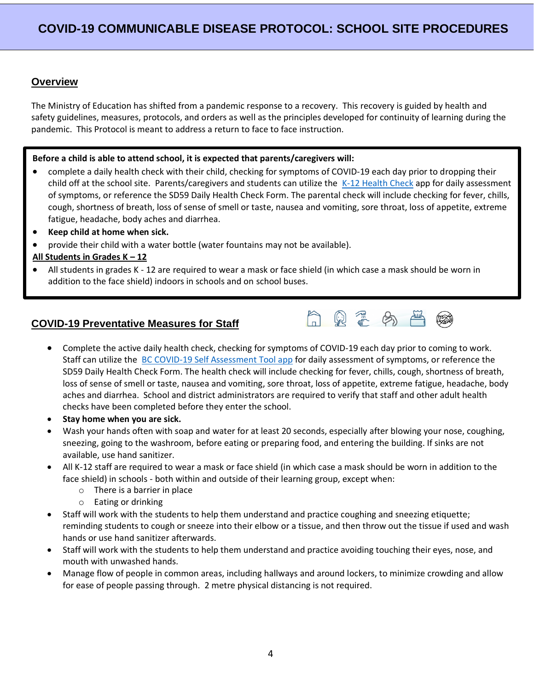#### <span id="page-3-0"></span>**Overview**

The Ministry of Education has shifted from a pandemic response to a recovery. This recovery is guided by health and safety guidelines, measures, protocols, and orders as well as the principles developed for continuity of learning during the pandemic. This Protocol is meant to address a return to face to face instruction.

#### **Before a child is able to attend school, it is expected that parents/caregivers will:**

- complete a daily health check with their child, checking for symptoms of COVID-19 each day prior to dropping their child off at the school site. Parents/caregivers and students can utilize the [K-12 Health Check](https://www.k12dailycheck.gov.bc.ca/healthcheck?execution=e1s1) app for daily assessment of symptoms, or reference the SD59 Daily Health Check Form. The parental check will include checking for fever, chills, cough, shortness of breath, loss of sense of smell or taste, nausea and vomiting, sore throat, loss of appetite, extreme fatigue, headache, body aches and diarrhea.
- **Keep child at home when sick.**
- provide their child with a water bottle (water fountains may not be available).

#### **All Students in Grades K – 12**

• All students in grades K - 12 are required to wear a mask or face shield (in which case a mask should be worn in addition to the face shield) indoors in schools and on school buses.

#### <span id="page-3-1"></span>**COVID-19 Preventative Measures for Staff**



- Complete the active daily health check, checking for symptoms of COVID-19 each day prior to coming to work. Staff can utilize the [BC COVID-19 Self Assessment Tool app](https://bc.thrive.health/) for daily assessment of symptoms, or reference the SD59 Daily Health Check Form. The health check will include checking for fever, chills, cough, shortness of breath, loss of sense of smell or taste, nausea and vomiting, sore throat, loss of appetite, extreme fatigue, headache, body aches and diarrhea. School and district administrators are required to verify that staff and other adult health checks have been completed before they enter the school.
- **Stay home when you are sick.**
- Wash your hands often with soap and water for at least 20 seconds, especially after blowing your nose, coughing, sneezing, going to the washroom, before eating or preparing food, and entering the building. If sinks are not available, use hand sanitizer.
- All K-12 staff are required to wear a mask or face shield (in which case a mask should be worn in addition to the face shield) in schools - both within and outside of their learning group, except when:
	- o There is a barrier in place
	- o Eating or drinking
- Staff will work with the students to help them understand and practice coughing and sneezing etiquette; reminding students to cough or sneeze into their elbow or a tissue, and then throw out the tissue if used and wash hands or use hand sanitizer afterwards.
- Staff will work with the students to help them understand and practice avoiding touching their eyes, nose, and mouth with unwashed hands.
- Manage flow of people in common areas, including hallways and around lockers, to minimize crowding and allow for ease of people passing through. 2 metre physical distancing is not required.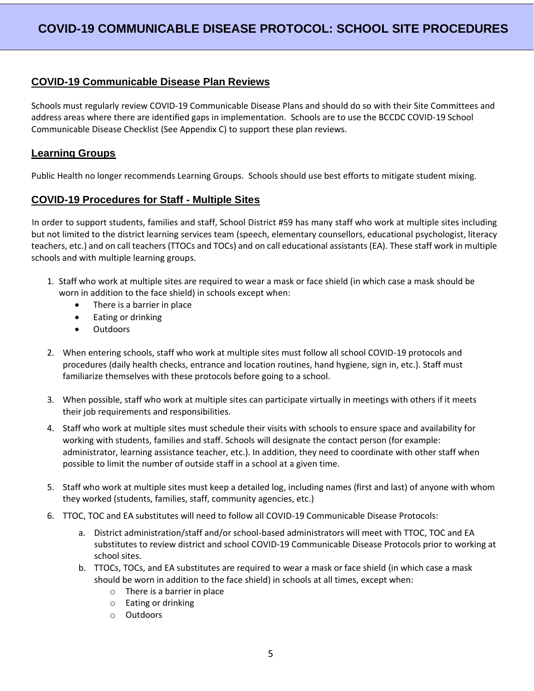#### <span id="page-4-0"></span>**COVID-19 Communicable Disease Plan Reviews**

Schools must regularly review COVID-19 Communicable Disease Plans and should do so with their Site Committees and address areas where there are identified gaps in implementation. Schools are to use the BCCDC COVID-19 School Communicable Disease Checklist (See Appendix C) to support these plan reviews.

#### <span id="page-4-1"></span>**Learning Groups**

Public Health no longer recommends Learning Groups. Schools should use best efforts to mitigate student mixing.

#### <span id="page-4-2"></span>**COVID-19 Procedures for Staff - Multiple Sites**

In order to support students, families and staff, School District #59 has many staff who work at multiple sites including but not limited to the district learning services team (speech, elementary counsellors, educational psychologist, literacy teachers, etc.) and on call teachers (TTOCs and TOCs) and on call educational assistants (EA). These staff work in multiple schools and with multiple learning groups.

- 1. Staff who work at multiple sites are required to wear a mask or face shield (in which case a mask should be worn in addition to the face shield) in schools except when:
	- There is a barrier in place
	- Eating or drinking
	- Outdoors
- 2. When entering schools, staff who work at multiple sites must follow all school COVID-19 protocols and procedures (daily health checks, entrance and location routines, hand hygiene, sign in, etc.). Staff must familiarize themselves with these protocols before going to a school.
- 3. When possible, staff who work at multiple sites can participate virtually in meetings with others if it meets their job requirements and responsibilities.
- 4. Staff who work at multiple sites must schedule their visits with schools to ensure space and availability for working with students, families and staff. Schools will designate the contact person (for example: administrator, learning assistance teacher, etc.). In addition, they need to coordinate with other staff when possible to limit the number of outside staff in a school at a given time.
- 5. Staff who work at multiple sites must keep a detailed log, including names (first and last) of anyone with whom they worked (students, families, staff, community agencies, etc.)
- 6. TTOC, TOC and EA substitutes will need to follow all COVID-19 Communicable Disease Protocols:
	- a. District administration/staff and/or school-based administrators will meet with TTOC, TOC and EA substitutes to review district and school COVID-19 Communicable Disease Protocols prior to working at school sites.
	- b. TTOCs, TOCs, and EA substitutes are required to wear a mask or face shield (in which case a mask should be worn in addition to the face shield) in schools at all times, except when:
		- o There is a barrier in place
		- o Eating or drinking
		- o Outdoors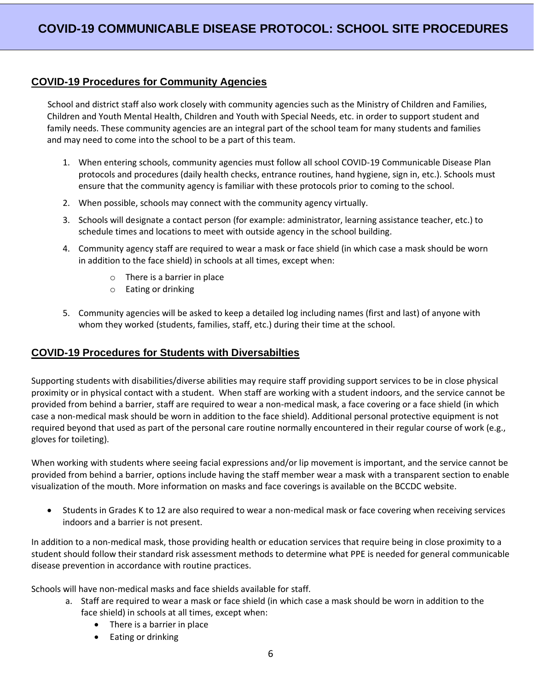#### <span id="page-5-0"></span>**COVID-19 Procedures for Community Agencies**

School and district staff also work closely with community agencies such as the Ministry of Children and Families, Children and Youth Mental Health, Children and Youth with Special Needs, etc. in order to support student and family needs. These community agencies are an integral part of the school team for many students and families and may need to come into the school to be a part of this team.

- 1. When entering schools, community agencies must follow all school COVID-19 Communicable Disease Plan protocols and procedures (daily health checks, entrance routines, hand hygiene, sign in, etc.). Schools must ensure that the community agency is familiar with these protocols prior to coming to the school.
- 2. When possible, schools may connect with the community agency virtually.
- 3. Schools will designate a contact person (for example: administrator, learning assistance teacher, etc.) to schedule times and locations to meet with outside agency in the school building.
- 4. Community agency staff are required to wear a mask or face shield (in which case a mask should be worn in addition to the face shield) in schools at all times, except when:
	- o There is a barrier in place
	- o Eating or drinking
- 5. Community agencies will be asked to keep a detailed log including names (first and last) of anyone with whom they worked (students, families, staff, etc.) during their time at the school.

#### <span id="page-5-1"></span>**COVID-19 Procedures for Students with Diversabilties**

Supporting students with disabilities/diverse abilities may require staff providing support services to be in close physical proximity or in physical contact with a student. When staff are working with a student indoors, and the service cannot be provided from behind a barrier, staff are required to wear a non-medical mask, a face covering or a face shield (in which case a non-medical mask should be worn in addition to the face shield). Additional personal protective equipment is not required beyond that used as part of the personal care routine normally encountered in their regular course of work (e.g., gloves for toileting).

When working with students where seeing facial expressions and/or lip movement is important, and the service cannot be provided from behind a barrier, options include having the staff member wear a mask with a transparent section to enable visualization of the mouth. More information on masks and face coverings is available on the BCCDC website.

• Students in Grades K to 12 are also required to wear a non-medical mask or face covering when receiving services indoors and a barrier is not present.

In addition to a non-medical mask, those providing health or education services that require being in close proximity to a student should follow their standard risk assessment methods to determine what PPE is needed for general communicable disease prevention in accordance with routine practices.

Schools will have non-medical masks and face shields available for staff.

- a. Staff are required to wear a mask or face shield (in which case a mask should be worn in addition to the face shield) in schools at all times, except when:
	- There is a barrier in place
	- Eating or drinking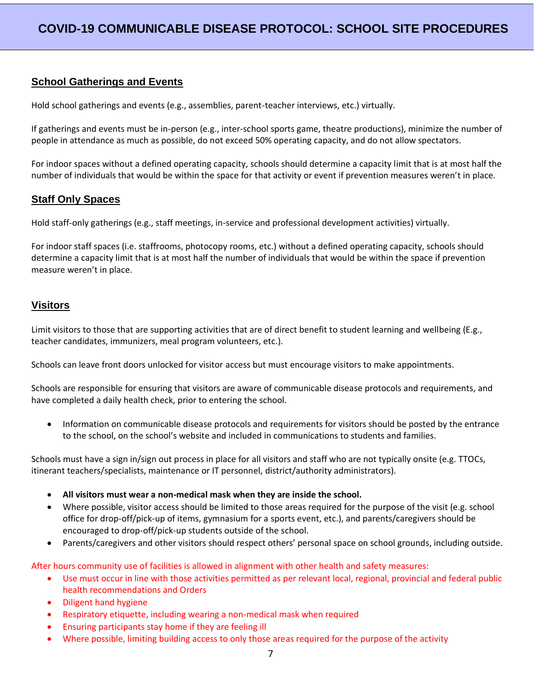#### <span id="page-6-0"></span>**School Gatherings and Events**

Hold school gatherings and events (e.g., assemblies, parent-teacher interviews, etc.) virtually.

If gatherings and events must be in-person (e.g., inter-school sports game, theatre productions), minimize the number of people in attendance as much as possible, do not exceed 50% operating capacity, and do not allow spectators.

For indoor spaces without a defined operating capacity, schools should determine a capacity limit that is at most half the number of individuals that would be within the space for that activity or event if prevention measures weren't in place.

#### <span id="page-6-1"></span>**Staff Only Spaces**

Hold staff-only gatherings (e.g., staff meetings, in-service and professional development activities) virtually.

For indoor staff spaces (i.e. staffrooms, photocopy rooms, etc.) without a defined operating capacity, schools should determine a capacity limit that is at most half the number of individuals that would be within the space if prevention measure weren't in place.

#### <span id="page-6-2"></span>**Visitors**

Limit visitors to those that are supporting activities that are of direct benefit to student learning and wellbeing (E.g., teacher candidates, immunizers, meal program volunteers, etc.).

Schools can leave front doors unlocked for visitor access but must encourage visitors to make appointments.

Schools are responsible for ensuring that visitors are aware of communicable disease protocols and requirements, and have completed a daily health check, prior to entering the school.

• Information on communicable disease protocols and requirements for visitors should be posted by the entrance to the school, on the school's website and included in communications to students and families.

Schools must have a sign in/sign out process in place for all visitors and staff who are not typically onsite (e.g. TTOCs, itinerant teachers/specialists, maintenance or IT personnel, district/authority administrators).

- **All visitors must wear a non-medical mask when they are inside the school.**
- Where possible, visitor access should be limited to those areas required for the purpose of the visit (e.g. school office for drop-off/pick-up of items, gymnasium for a sports event, etc.), and parents/caregivers should be encouraged to drop-off/pick-up students outside of the school.
- Parents/caregivers and other visitors should respect others' personal space on school grounds, including outside.

After hours community use of facilities is allowed in alignment with other health and safety measures:

- Use must occur in line with those activities permitted as per relevant local, regional, provincial and federal public health recommendations and Orders
- Diligent hand hygiene
- Respiratory etiquette, including wearing a non-medical mask when required
- Ensuring participants stay home if they are feeling ill
- Where possible, limiting building access to only those areas required for the purpose of the activity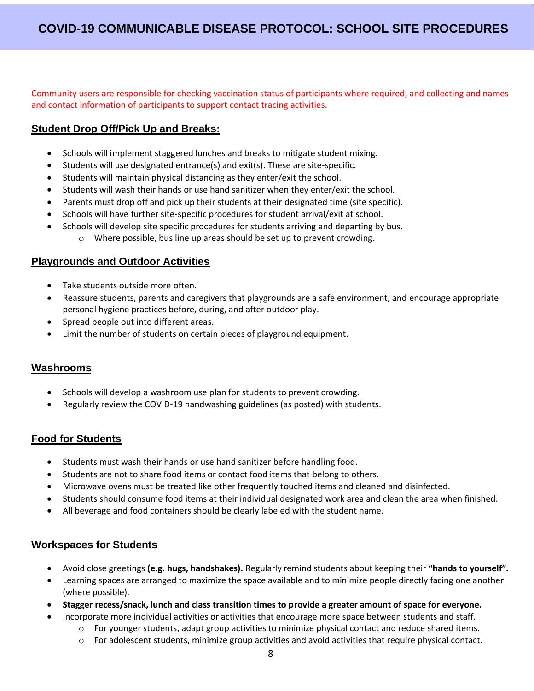Community users are responsible for checking vaccination status of participants where required, and collecting and names and contact information of participants to support contact tracing activities.

#### <span id="page-7-0"></span>**Student Drop Off/Pick Up and Breaks:**

- Schools will implement staggered lunches and breaks to mitigate student mixing.
- Students will use designated entrance(s) and exit(s). These are site-specific.
- Students will maintain physical distancing as they enter/exit the school.
- Students will wash their hands or use hand sanitizer when they enter/exit the school.
- Parents must drop off and pick up their students at their designated time (site specific).
- Schools will have further site-specific procedures for student arrival/exit at school.
	- Schools will develop site specific procedures for students arriving and departing by bus.
		- o Where possible, bus line up areas should be set up to prevent crowding.

#### <span id="page-7-1"></span>**Playgrounds and Outdoor Activities**

- Take students outside more often.
- Reassure students, parents and caregivers that playgrounds are a safe environment, and encourage appropriate personal hygiene practices before, during, and after outdoor play.
- Spread people out into different areas.
- Limit the number of students on certain pieces of playground equipment.

#### <span id="page-7-2"></span>**Washrooms**

- Schools will develop a washroom use plan for students to prevent crowding.
- Regularly review the COVID-19 handwashing guidelines (as posted) with students.

#### <span id="page-7-3"></span>**Food for Students**

- Students must wash their hands or use hand sanitizer before handling food.
- Students are not to share food items or contact food items that belong to others.
- Microwave ovens must be treated like other frequently touched items and cleaned and disinfected.
- Students should consume food items at their individual designated work area and clean the area when finished.
- All beverage and food containers should be clearly labeled with the student name.

#### <span id="page-7-4"></span>**Workspaces for Students**

- Avoid close greetings **(e.g. hugs, handshakes).** Regularly remind students about keeping their **"hands to yourself".**
- Learning spaces are arranged to maximize the space available and to minimize people directly facing one another (where possible).
- **Stagger recess/snack, lunch and class transition times to provide a greater amount of space for everyone.**
	- Incorporate more individual activities or activities that encourage more space between students and staff.
		- $\circ$  For younger students, adapt group activities to minimize physical contact and reduce shared items.
		- o For adolescent students, minimize group activities and avoid activities that require physical contact.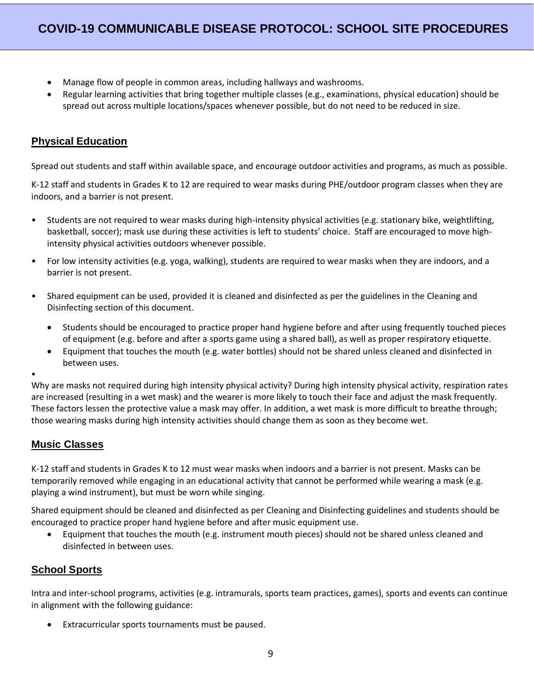- Manage flow of people in common areas, including hallways and washrooms.
- Regular learning activities that bring together multiple classes (e.g., examinations, physical education) should be spread out across multiple locations/spaces whenever possible, but do not need to be reduced in size.

#### <span id="page-8-0"></span>**Physical Education**

Spread out students and staff within available space, and encourage outdoor activities and programs, as much as possible.

K-12 staff and students in Grades K to 12 are required to wear masks during PHE/outdoor program classes when they are indoors, and a barrier is not present.

- Students are not required to wear masks during high-intensity physical activities (e.g. stationary bike, weightlifting, basketball, soccer); mask use during these activities is left to students' choice. Staff are encouraged to move highintensity physical activities outdoors whenever possible.
- For low intensity activities (e.g. yoga, walking), students are required to wear masks when they are indoors, and a barrier is not present.
- Shared equipment can be used, provided it is cleaned and disinfected as per the guidelines in the Cleaning and Disinfecting section of this document.
	- Students should be encouraged to practice proper hand hygiene before and after using frequently touched pieces of equipment (e.g. before and after a sports game using a shared ball), as well as proper respiratory etiquette.
	- Equipment that touches the mouth (e.g. water bottles) should not be shared unless cleaned and disinfected in between uses.

•

Why are masks not required during high intensity physical activity? During high intensity physical activity, respiration rates are increased (resulting in a wet mask) and the wearer is more likely to touch their face and adjust the mask frequently. These factors lessen the protective value a mask may offer. In addition, a wet mask is more difficult to breathe through; those wearing masks during high intensity activities should change them as soon as they become wet.

#### <span id="page-8-1"></span>**Music Classes**

K-12 staff and students in Grades K to 12 must wear masks when indoors and a barrier is not present. Masks can be temporarily removed while engaging in an educational activity that cannot be performed while wearing a mask (e.g. playing a wind instrument), but must be worn while singing.

Shared equipment should be cleaned and disinfected as per Cleaning and Disinfecting guidelines and students should be encouraged to practice proper hand hygiene before and after music equipment use.

• Equipment that touches the mouth (e.g. instrument mouth pieces) should not be shared unless cleaned and disinfected in between uses.

### <span id="page-8-2"></span>**School Sports**

Intra and inter-school programs, activities (e.g. intramurals, sports team practices, games), sports and events can continue in alignment with the following guidance:

Extracurricular sports tournaments must be paused.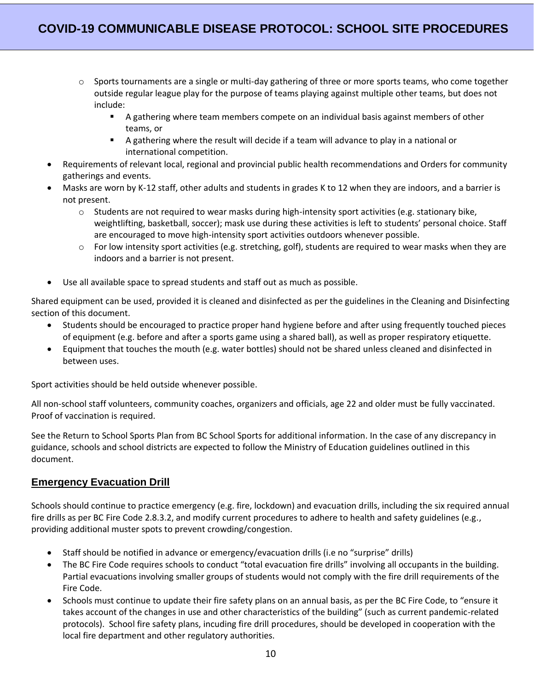- $\circ$  Sports tournaments are a single or multi-day gathering of three or more sports teams, who come together outside regular league play for the purpose of teams playing against multiple other teams, but does not include:
	- A gathering where team members compete on an individual basis against members of other teams, or
	- A gathering where the result will decide if a team will advance to play in a national or international competition.
- Requirements of relevant local, regional and provincial public health recommendations and Orders for community gatherings and events.
- Masks are worn by K-12 staff, other adults and students in grades K to 12 when they are indoors, and a barrier is not present.
	- $\circ$  Students are not required to wear masks during high-intensity sport activities (e.g. stationary bike, weightlifting, basketball, soccer); mask use during these activities is left to students' personal choice. Staff are encouraged to move high-intensity sport activities outdoors whenever possible.
	- $\circ$  For low intensity sport activities (e.g. stretching, golf), students are required to wear masks when they are indoors and a barrier is not present.
- Use all available space to spread students and staff out as much as possible.

Shared equipment can be used, provided it is cleaned and disinfected as per the guidelines in the Cleaning and Disinfecting section of this document.

- Students should be encouraged to practice proper hand hygiene before and after using frequently touched pieces of equipment (e.g. before and after a sports game using a shared ball), as well as proper respiratory etiquette.
- Equipment that touches the mouth (e.g. water bottles) should not be shared unless cleaned and disinfected in between uses.

Sport activities should be held outside whenever possible.

All non-school staff volunteers, community coaches, organizers and officials, age 22 and older must be fully vaccinated. Proof of vaccination is required.

See the Return to School Sports Plan from BC School Sports for additional information. In the case of any discrepancy in guidance, schools and school districts are expected to follow the Ministry of Education guidelines outlined in this document.

#### <span id="page-9-0"></span>**Emergency Evacuation Drill**

Schools should continue to practice emergency (e.g. fire, lockdown) and evacuation drills, including the six required annual fire drills as per BC Fire Code 2.8.3.2, and modify current procedures to adhere to health and safety guidelines (e.g., providing additional muster spots to prevent crowding/congestion.

- Staff should be notified in advance or emergency/evacuation drills (i.e no "surprise" drills)
- The BC Fire Code requires schools to conduct "total evacuation fire drills" involving all occupants in the building. Partial evacuations involving smaller groups of students would not comply with the fire drill requirements of the Fire Code.
- Schools must continue to update their fire safety plans on an annual basis, as per the BC Fire Code, to "ensure it takes account of the changes in use and other characteristics of the building" (such as current pandemic-related protocols). School fire safety plans, incuding fire drill procedures, should be developed in cooperation with the local fire department and other regulatory authorities.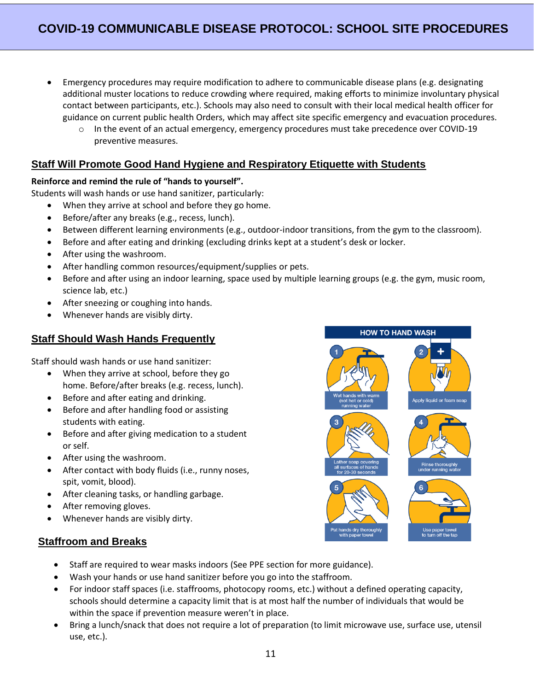- Emergency procedures may require modification to adhere to communicable disease plans (e.g. designating additional muster locations to reduce crowding where required, making efforts to minimize involuntary physical contact between participants, etc.). Schools may also need to consult with their local medical health officer for guidance on current public health Orders, which may affect site specific emergency and evacuation procedures.
	- $\circ$  In the event of an actual emergency, emergency procedures must take precedence over COVID-19 preventive measures.

#### <span id="page-10-0"></span>**Staff Will Promote Good Hand Hygiene and Respiratory Etiquette with Students**

#### **Reinforce and remind the rule of "hands to yourself".**

Students will wash hands or use hand sanitizer, particularly:

- When they arrive at school and before they go home.
- Before/after any breaks (e.g., recess, lunch).
- Between different learning environments (e.g., outdoor-indoor transitions, from the gym to the classroom).
- Before and after eating and drinking (excluding drinks kept at a student's desk or locker.
- After using the washroom.
- After handling common resources/equipment/supplies or pets.
- Before and after using an indoor learning, space used by multiple learning groups (e.g. the gym, music room, science lab, etc.)
- After sneezing or coughing into hands.
- Whenever hands are visibly dirty.

#### <span id="page-10-1"></span>**Staff Should Wash Hands Frequently**

Staff should wash hands or use hand sanitizer:

- When they arrive at school, before they go home. Before/after breaks (e.g. recess, lunch).
- Before and after eating and drinking.
- Before and after handling food or assisting students with eating.
- Before and after giving medication to a student or self.
- After using the washroom.
- After contact with body fluids (i.e., runny noses, spit, vomit, blood).
- After cleaning tasks, or handling garbage.
- After removing gloves.
- Whenever hands are visibly dirty.

#### <span id="page-10-2"></span>**Staffroom and Breaks**

- Staff are required to wear masks indoors (See PPE section for more guidance).
- Wash your hands or use hand sanitizer before you go into the staffroom.
- For indoor staff spaces (i.e. staffrooms, photocopy rooms, etc.) without a defined operating capacity, schools should determine a capacity limit that is at most half the number of individuals that would be within the space if prevention measure weren't in place.
- Bring a lunch/snack that does not require a lot of preparation (to limit microwave use, surface use, utensil use, etc.).

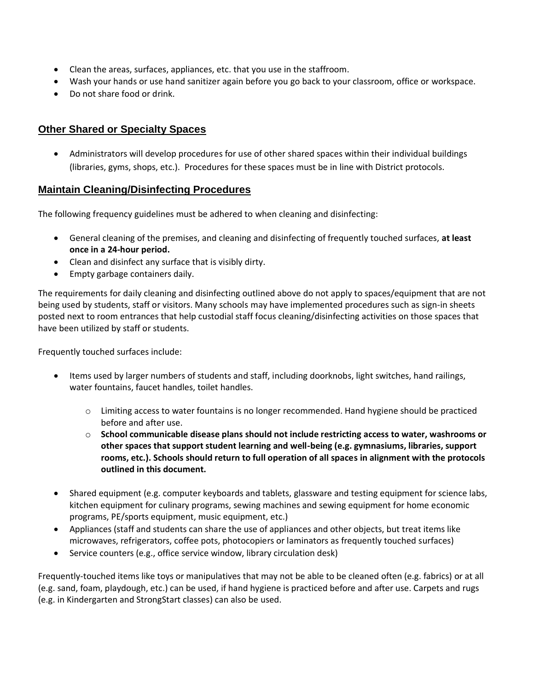- Clean the areas, surfaces, appliances, etc. that you use in the staffroom.
- Wash your hands or use hand sanitizer again before you go back to your classroom, office or workspace.
- Do not share food or drink.

#### <span id="page-11-0"></span>**Other Shared or Specialty Spaces**

• Administrators will develop procedures for use of other shared spaces within their individual buildings (libraries, gyms, shops, etc.). Procedures for these spaces must be in line with District protocols.

#### <span id="page-11-1"></span>**Maintain Cleaning/Disinfecting Procedures**

The following frequency guidelines must be adhered to when cleaning and disinfecting:

- General cleaning of the premises, and cleaning and disinfecting of frequently touched surfaces, **at least once in a 24-hour period.**
- Clean and disinfect any surface that is visibly dirty.
- Empty garbage containers daily.

The requirements for daily cleaning and disinfecting outlined above do not apply to spaces/equipment that are not being used by students, staff or visitors. Many schools may have implemented procedures such as sign-in sheets posted next to room entrances that help custodial staff focus cleaning/disinfecting activities on those spaces that have been utilized by staff or students.

Frequently touched surfaces include:

- Items used by larger numbers of students and staff, including doorknobs, light switches, hand railings, water fountains, faucet handles, toilet handles.
	- o Limiting access to water fountains is no longer recommended. Hand hygiene should be practiced before and after use.
	- o **School communicable disease plans should not include restricting access to water, washrooms or other spaces that support student learning and well-being (e.g. gymnasiums, libraries, support rooms, etc.). Schools should return to full operation of all spaces in alignment with the protocols outlined in this document.**
- Shared equipment (e.g. computer keyboards and tablets, glassware and testing equipment for science labs, kitchen equipment for culinary programs, sewing machines and sewing equipment for home economic programs, PE/sports equipment, music equipment, etc.)
- Appliances (staff and students can share the use of appliances and other objects, but treat items like microwaves, refrigerators, coffee pots, photocopiers or laminators as frequently touched surfaces)
- Service counters (e.g., office service window, library circulation desk)

Frequently-touched items like toys or manipulatives that may not be able to be cleaned often (e.g. fabrics) or at all (e.g. sand, foam, playdough, etc.) can be used, if hand hygiene is practiced before and after use. Carpets and rugs (e.g. in Kindergarten and StrongStart classes) can also be used.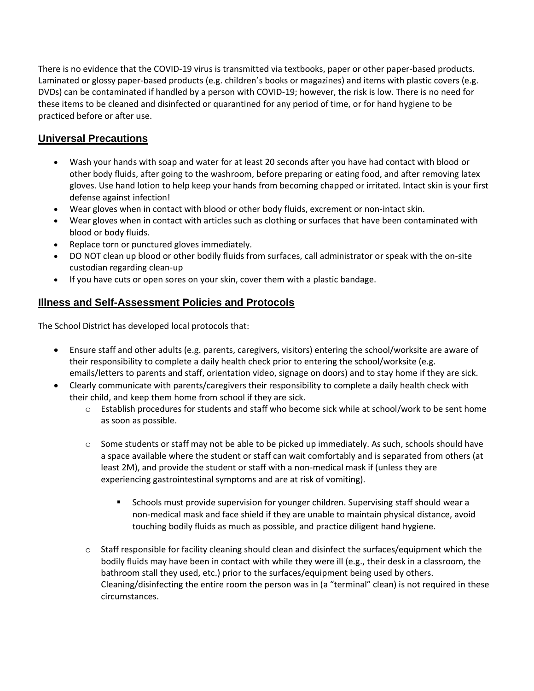There is no evidence that the COVID-19 virus is transmitted via textbooks, paper or other paper-based products. Laminated or glossy paper-based products (e.g. children's books or magazines) and items with plastic covers (e.g. DVDs) can be contaminated if handled by a person with COVID-19; however, the risk is low. There is no need for these items to be cleaned and disinfected or quarantined for any period of time, or for hand hygiene to be practiced before or after use.

### <span id="page-12-0"></span>**Universal Precautions**

- Wash your hands with soap and water for at least 20 seconds after you have had contact with blood or other body fluids, after going to the washroom, before preparing or eating food, and after removing latex gloves. Use hand lotion to help keep your hands from becoming chapped or irritated. Intact skin is your first defense against infection!
- Wear gloves when in contact with blood or other body fluids, excrement or non-intact skin.
- Wear gloves when in contact with articles such as clothing or surfaces that have been contaminated with blood or body fluids.
- Replace torn or punctured gloves immediately.
- DO NOT clean up blood or other bodily fluids from surfaces, call administrator or speak with the on-site custodian regarding clean-up
- If you have cuts or open sores on your skin, cover them with a plastic bandage.

### <span id="page-12-1"></span>**Illness and Self-Assessment Policies and Protocols**

The School District has developed local protocols that:

- Ensure staff and other adults (e.g. parents, caregivers, visitors) entering the school/worksite are aware of their responsibility to complete a daily health check prior to entering the school/worksite (e.g. emails/letters to parents and staff, orientation video, signage on doors) and to stay home if they are sick.
- Clearly communicate with parents/caregivers their responsibility to complete a daily health check with their child, and keep them home from school if they are sick.
	- $\circ$  Establish procedures for students and staff who become sick while at school/work to be sent home as soon as possible.
	- $\circ$  Some students or staff may not be able to be picked up immediately. As such, schools should have a space available where the student or staff can wait comfortably and is separated from others (at least 2M), and provide the student or staff with a non-medical mask if (unless they are experiencing gastrointestinal symptoms and are at risk of vomiting).
		- **■** Schools must provide supervision for younger children. Supervising staff should wear a non-medical mask and face shield if they are unable to maintain physical distance, avoid touching bodily fluids as much as possible, and practice diligent hand hygiene.
	- $\circ$  Staff responsible for facility cleaning should clean and disinfect the surfaces/equipment which the bodily fluids may have been in contact with while they were ill (e.g., their desk in a classroom, the bathroom stall they used, etc.) prior to the surfaces/equipment being used by others. Cleaning/disinfecting the entire room the person was in (a "terminal" clean) is not required in these circumstances.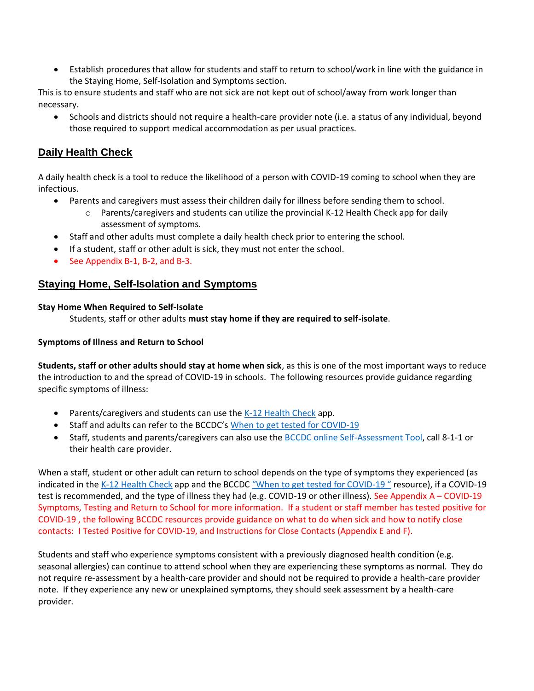• Establish procedures that allow for students and staff to return to school/work in line with the guidance in the Staying Home, Self-Isolation and Symptoms section.

This is to ensure students and staff who are not sick are not kept out of school/away from work longer than necessary.

• Schools and districts should not require a health-care provider note (i.e. a status of any individual, beyond those required to support medical accommodation as per usual practices.

#### <span id="page-13-0"></span>**Daily Health Check**

A daily health check is a tool to reduce the likelihood of a person with COVID-19 coming to school when they are infectious.

- Parents and caregivers must assess their children daily for illness before sending them to school.
	- $\circ$  Parents/caregivers and students can utilize the provincial K-12 Health Check app for daily assessment of symptoms.
- Staff and other adults must complete a daily health check prior to entering the school.
- If a student, staff or other adult is sick, they must not enter the school.
- See Appendix B-1, B-2, and B-3.

#### <span id="page-13-1"></span>**Staying Home, Self-Isolation and Symptoms**

#### **Stay Home When Required to Self-Isolate**

Students, staff or other adults **must stay home if they are required to self-isolate**.

#### **Symptoms of Illness and Return to School**

**Students, staff or other adults should stay at home when sick**, as this is one of the most important ways to reduce the introduction to and the spread of COVID-19 in schools. The following resources provide guidance regarding specific symptoms of illness:

- Parents/caregivers and students can use the [K-12 Health Check](https://www.k12dailycheck.gov.bc.ca/healthcheck?execution=e1s1) app.
- Staff and adults can refer to the BCCDC's [When to get tested for COVID-19](http://www.bccdc.ca/Health-Info-Site/Documents/COVID_public_guidance/When_to_get_tested.pdf)
- Staff, students and parents/caregivers can also use the [BCCDC online Self-Assessment Tool,](https://bc.thrive.health/) call 8-1-1 or their health care provider.

When a staff, student or other adult can return to school depends on the type of symptoms they experienced (as indicated in the [K-12 Health Check](https://www.k12dailycheck.gov.bc.ca/healthcheck?execution=e1s1) app and the BCCDC "When to get [tested for COVID-](http://www.bccdc.ca/Health-Info-Site/Documents/COVID_public_guidance/When_to_get_tested.pdf)19" resource), if a COVID-19 test is recommended, and the type of illness they had (e.g. COVID-19 or other illness). See Appendix A – COVID-19 Symptoms, Testing and Return to School for more information. If a student or staff member has tested positive for COVID-19 , the following BCCDC resources provide guidance on what to do when sick and how to notify close contacts: I Tested Positive for COVID-19, and Instructions for Close Contacts (Appendix E and F).

Students and staff who experience symptoms consistent with a previously diagnosed health condition (e.g. seasonal allergies) can continue to attend school when they are experiencing these symptoms as normal. They do not require re-assessment by a health-care provider and should not be required to provide a health-care provider note. If they experience any new or unexplained symptoms, they should seek assessment by a health-care provider.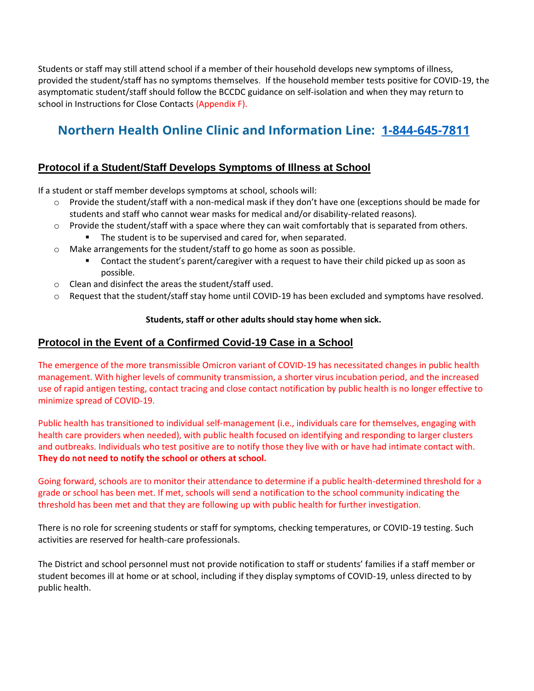Students or staff may still attend school if a member of their household develops new symptoms of illness, provided the student/staff has no symptoms themselves. If the household member tests positive for COVID-19, the asymptomatic student/staff should follow the BCCDC guidance on self-isolation and when they may return to school in Instructions for Close Contacts (Appendix F).

# **Northern Health Online Clinic and Information Line: [1-844-645-7811](tel:1-844-645-7811)**

### <span id="page-14-0"></span>**Protocol if a Student/Staff Develops Symptoms of Illness at School**

If a student or staff member develops symptoms at school, schools will:

- o Provide the student/staff with a non-medical mask if they don't have one (exceptions should be made for students and staff who cannot wear masks for medical and/or disability-related reasons).
- o Provide the student/staff with a space where they can wait comfortably that is separated from others.
	- The student is to be supervised and cared for, when separated.
- o Make arrangements for the student/staff to go home as soon as possible.
	- Contact the student's parent/caregiver with a request to have their child picked up as soon as possible.
- o Clean and disinfect the areas the student/staff used.
- o Request that the student/staff stay home until COVID-19 has been excluded and symptoms have resolved.

#### **Students, staff or other adults should stay home when sick.**

#### <span id="page-14-1"></span>**Protocol in the Event of a Confirmed Covid-19 Case in a School**

The emergence of the more transmissible Omicron variant of COVID-19 has necessitated changes in public health management. With higher levels of community transmission, a shorter virus incubation period, and the increased use of rapid antigen testing, contact tracing and close contact notification by public health is no longer effective to minimize spread of COVID-19.

Public health has transitioned to individual self-management (i.e., individuals care for themselves, engaging with health care providers when needed), with public health focused on identifying and responding to larger clusters and outbreaks. Individuals who test positive are to notify those they live with or have had intimate contact with. **They do not need to notify the school or others at school.**

Going forward, schools are to monitor their attendance to determine if a public health-determined threshold for a grade or school has been met. If met, schools will send a notification to the school community indicating the threshold has been met and that they are following up with public health for further investigation.

There is no role for screening students or staff for symptoms, checking temperatures, or COVID-19 testing. Such activities are reserved for health-care professionals.

The District and school personnel must not provide notification to staff or students' families if a staff member or student becomes ill at home or at school, including if they display symptoms of COVID-19, unless directed to by public health.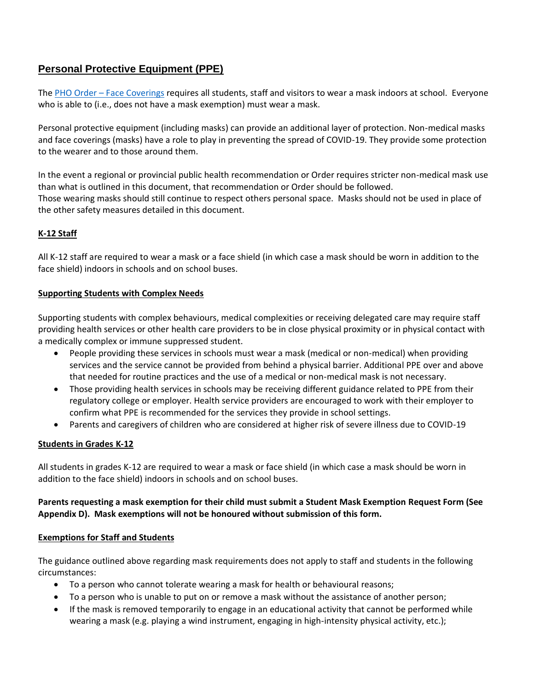### <span id="page-15-0"></span>**Personal Protective Equipment (PPE)**

The PHO Order – [Face Coverings](https://www2.gov.bc.ca/assets/gov/health/about-bc-s-health-care-system/office-of-the-provincial-health-officer/covid-19/covid-19-pho-order-face-coverings.pdf) requires all students, staff and visitors to wear a mask indoors at school. Everyone who is able to (i.e., does not have a mask exemption) must wear a mask.

Personal protective equipment (including masks) can provide an additional layer of protection. Non-medical masks and face coverings (masks) have a role to play in preventing the spread of COVID-19. They provide some protection to the wearer and to those around them.

In the event a regional or provincial public health recommendation or Order requires stricter non-medical mask use than what is outlined in this document, that recommendation or Order should be followed. Those wearing masks should still continue to respect others personal space. Masks should not be used in place of the other safety measures detailed in this document.

#### **K-12 Staff**

All K-12 staff are required to wear a mask or a face shield (in which case a mask should be worn in addition to the face shield) indoors in schools and on school buses.

#### **Supporting Students with Complex Needs**

Supporting students with complex behaviours, medical complexities or receiving delegated care may require staff providing health services or other health care providers to be in close physical proximity or in physical contact with a medically complex or immune suppressed student.

- People providing these services in schools must wear a mask (medical or non-medical) when providing services and the service cannot be provided from behind a physical barrier. Additional PPE over and above that needed for routine practices and the use of a medical or non-medical mask is not necessary.
- Those providing health services in schools may be receiving different guidance related to PPE from their regulatory college or employer. Health service providers are encouraged to work with their employer to confirm what PPE is recommended for the services they provide in school settings.
- Parents and caregivers of children who are considered at higher risk of severe illness due to COVID-19

#### **Students in Grades K-12**

All students in grades K-12 are required to wear a mask or face shield (in which case a mask should be worn in addition to the face shield) indoors in schools and on school buses.

#### **Parents requesting a mask exemption for their child must submit a Student Mask Exemption Request Form (See Appendix D). Mask exemptions will not be honoured without submission of this form.**

#### **Exemptions for Staff and Students**

The guidance outlined above regarding mask requirements does not apply to staff and students in the following circumstances:

- To a person who cannot tolerate wearing a mask for health or behavioural reasons;
- To a person who is unable to put on or remove a mask without the assistance of another person;
- If the mask is removed temporarily to engage in an educational activity that cannot be performed while wearing a mask (e.g. playing a wind instrument, engaging in high-intensity physical activity, etc.);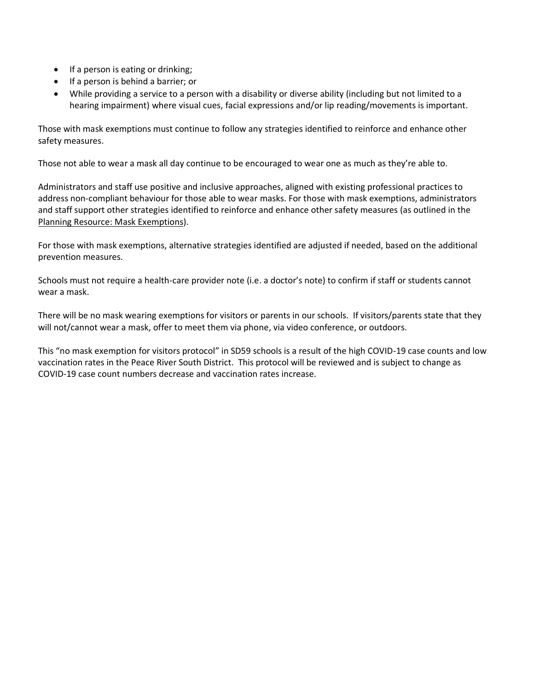- If a person is eating or drinking;
- If a person is behind a barrier; or
- While providing a service to a person with a disability or diverse ability (including but not limited to a hearing impairment) where visual cues, facial expressions and/or lip reading/movements is important.

Those with mask exemptions must continue to follow any strategies identified to reinforce and enhance other safety measures.

Those not able to wear a mask all day continue to be encouraged to wear one as much as they're able to.

Administrators and staff use positive and inclusive approaches, aligned with existing professional practices to address non-compliant behaviour for those able to wear masks. For those with mask exemptions, administrators and staff support other strategies identified to reinforce and enhance other safety measures (as outlined in the [Planning Resource: Mask Exemptions\)](https://www2.gov.bc.ca/assets/gov/education/administration/kindergarten-to-grade-12/safe-caring-orderly/covid-19-planning-mask-exemptions.pdf).

For those with mask exemptions, alternative strategies identified are adjusted if needed, based on the additional prevention measures.

Schools must not require a health-care provider note (i.e. a doctor's note) to confirm if staff or students cannot wear a mask.

There will be no mask wearing exemptions for visitors or parents in our schools. If visitors/parents state that they will not/cannot wear a mask, offer to meet them via phone, via video conference, or outdoors.

This "no mask exemption for visitors protocol" in SD59 schools is a result of the high COVID-19 case counts and low vaccination rates in the Peace River South District. This protocol will be reviewed and is subject to change as COVID-19 case count numbers decrease and vaccination rates increase.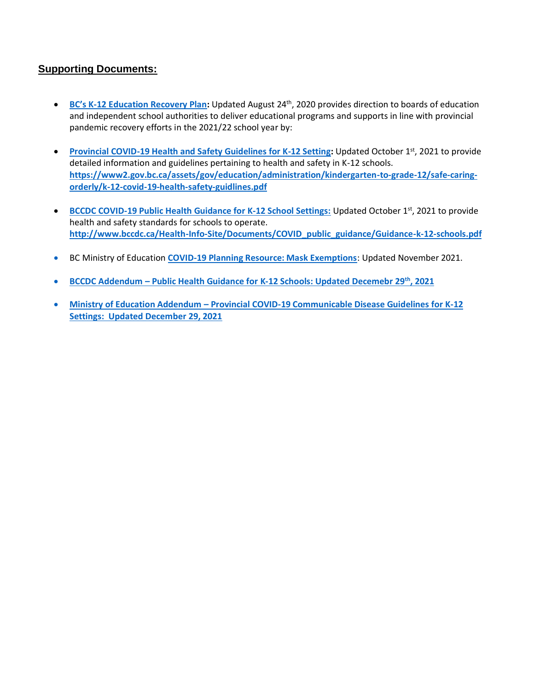#### <span id="page-17-0"></span>**Supporting Documents:**

- **BC's K[-12 Education Recovery](https://www2.gov.bc.ca/assets/gov/education/administration/kindergarten-to-grade-12/safe-caring-orderly/k-12-education-restart-plan.pdf) Plan:** Updated August 24th, 2020 provides direction to boards of education and independent school authorities to deliver educational programs and supports in line with provincial pandemic recovery efforts in the 2021/22 school year by:
- **[Provincial COVID-19 Health and Safety Guidelines for K-12 Setting:](https://www2.gov.bc.ca/assets/gov/education/administration/kindergarten-to-grade-12/safe-caring-orderly/k-12-covid-19-health-safety-guidlines.pdf) Updated October 1st, 2021 to provide** detailed information and guidelines pertaining to health and safety in K-12 schools. **[https://www2.gov.bc.ca/assets/gov/education/administration/kindergarten-to-grade-12/safe-caring](https://www2.gov.bc.ca/assets/gov/education/administration/kindergarten-to-grade-12/safe-caring-orderly/k-12-covid-19-health-safety-guidlines.pdf)[orderly/k-12-covid-19-health-safety-guidlines.pdf](https://www2.gov.bc.ca/assets/gov/education/administration/kindergarten-to-grade-12/safe-caring-orderly/k-12-covid-19-health-safety-guidlines.pdf)**
- **[BCCDC COVID-19 Public Health Guidance for K-12 School Settings:](http://www.bccdc.ca/Health-Info-Site/Documents/COVID_public_guidance/Guidance-k-12-schools.pdf) Updated October 1st, 2021 to provide** health and safety standards for schools to operate. **[http://www.bccdc.ca/Health-Info-Site/Documents/COVID\\_public\\_guidance/Guidance-k-12-schools.pdf](http://www.bccdc.ca/Health-Info-Site/Documents/COVID_public_guidance/Guidance-k-12-schools.pdf)**
- BC Ministry of Education **[COVID-19 Planning Resource: Mask Exemptions](https://www2.gov.bc.ca/assets/gov/education/administration/kindergarten-to-grade-12/safe-caring-orderly/covid-19-planning-mask-exemptions.pdf)**: Updated November 2021.
- **BCCDC Addendum – [Public Health Guidance for K-12 Schools: Updated Decemebr 29](http://www.bccdc.ca/Health-Info-Site/Documents/COVID_public_guidance/Addendum_K-12Guidance_12292021.pdf)th, 2021**
- **Ministry of Education Addendum – [Provincial COVID-19 Communicable Disease Guidelines for K-12](https://www2.gov.bc.ca/assets/gov/education/administration/kindergarten-to-grade-12/safe-caring-orderly/k-12-covid-19-health-safety-guidelines-addendum.pdf)  [Settings: Updated December 29, 2021](https://www2.gov.bc.ca/assets/gov/education/administration/kindergarten-to-grade-12/safe-caring-orderly/k-12-covid-19-health-safety-guidelines-addendum.pdf)**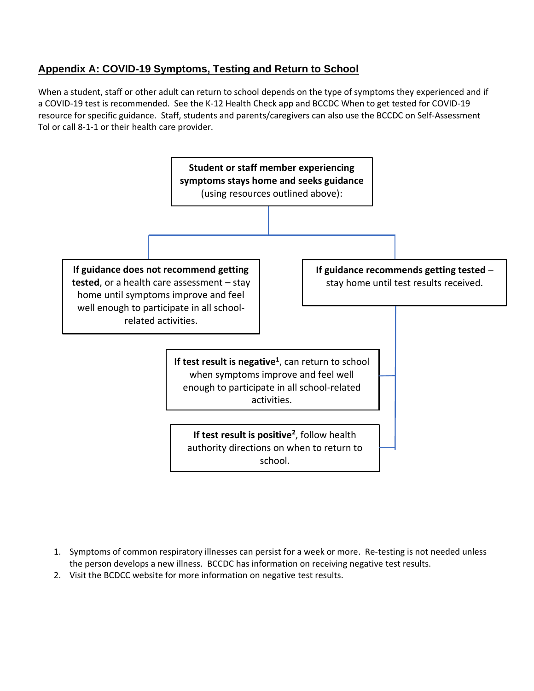### <span id="page-18-0"></span>**Appendix A: COVID-19 Symptoms, Testing and Return to School**

When a student, staff or other adult can return to school depends on the type of symptoms they experienced and if a COVID-19 test is recommended. See the K-12 Health Check app and BCCDC When to get tested for COVID-19 resource for specific guidance. Staff, students and parents/caregivers can also use the BCCDC on Self-Assessment Tol or call 8-1-1 or their health care provider.



- 1. Symptoms of common respiratory illnesses can persist for a week or more. Re-testing is not needed unless the person develops a new illness. BCCDC has information on receiving negative test results.
- 2. Visit the BCDCC website for more information on negative test results.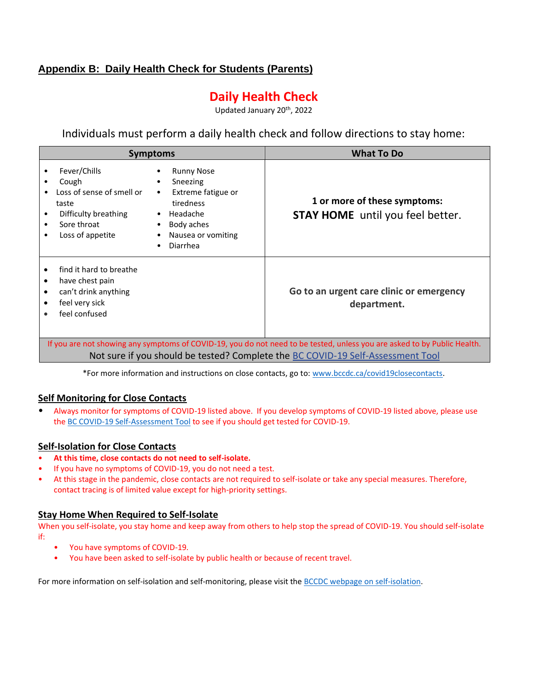### <span id="page-19-0"></span>**Appendix B: Daily Health Check for Students (Parents)**

# **Daily Health Check**

Updated January 20th, 2022

Individuals must perform a daily health check and follow directions to stay home:

| <b>Symptoms</b>                                                                                                                                            |                                                                                                                              | <b>What To Do</b>                                                                                                                                                                   |
|------------------------------------------------------------------------------------------------------------------------------------------------------------|------------------------------------------------------------------------------------------------------------------------------|-------------------------------------------------------------------------------------------------------------------------------------------------------------------------------------|
| Fever/Chills<br>Cough<br>$\bullet$<br>Loss of sense of smell or<br>$\bullet$<br>taste<br>Difficulty breathing<br>٠<br>Sore throat<br>Loss of appetite<br>٠ | <b>Runny Nose</b><br>Sneezing<br>Extreme fatigue or<br>tiredness<br>Headache<br>Body aches<br>Nausea or vomiting<br>Diarrhea | 1 or more of these symptoms:<br><b>STAY HOME</b> until you feel better.                                                                                                             |
| find it hard to breathe<br>have chest pain<br>٠<br>can't drink anything<br>٠<br>feel very sick<br>٠<br>feel confused<br>٠                                  |                                                                                                                              | Go to an urgent care clinic or emergency<br>department.<br>If you are not showing any symptoms of COVID-19, you do not need to be tested, unless you are asked to by Public Health. |

Not sure if you should be tested? Complete the [BC COVID-19 Self-Assessment Tool](https://bc.thrive.health/)

\*For more information and instructions on close contacts, go to: [www.bccdc.ca/covid19closecontacts.](http://www.bccdc.ca/covid19closecontacts)

#### **Self Monitoring for Close Contacts**

• Always monitor for symptoms of COVID-19 listed above. If you develop symptoms of COVID-19 listed above, please use th[e BC COVID-19 Self-Assessment Tool](https://bc.thrive.health/covid19/en) to see if you should get tested for COVID-19.

#### **Self-Isolation for Close Contacts**

- **At this time, close contacts do not need to self-isolate.**
- If you have no symptoms of COVID-19, you do not need a test.
- At this stage in the pandemic, close contacts are not required to self-isolate or take any special measures. Therefore, contact tracing is of limited value except for high-priority settings.

#### **Stay Home When Required to Self-Isolate**

When you self-isolate, you stay home and keep away from others to help stop the spread of COVID-19. You should self-isolate if:

- You have symptoms of COVID-19.
- You have been asked to self-isolate by public health or because of recent travel.

For more information on self-isolation and self-monitoring, please visit th[e BCCDC webpage on self-isolation.](http://www.bccdc.ca/health-info/diseases-conditions/covid-19/self-isolation)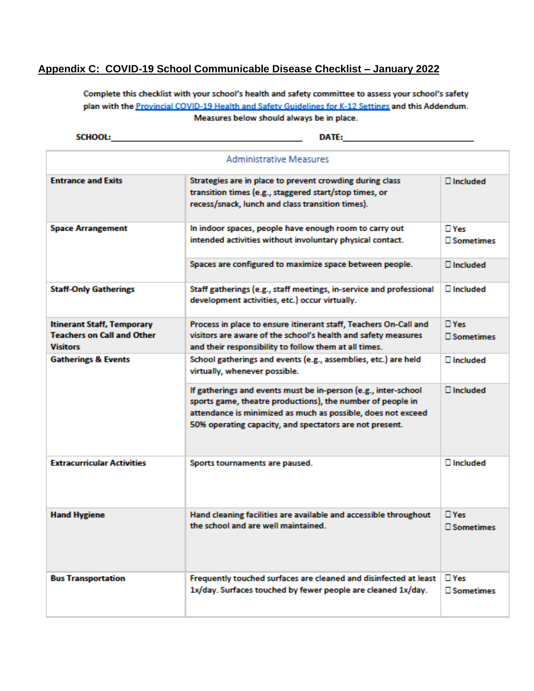### <span id="page-20-0"></span>**Appendix C: COVID-19 School Communicable Disease Checklist – January 2022**

Complete this checklist with your school's health and safety committee to assess your school's safety plan with the Provincial COVID-19 Health and Safety Guidelines for K-12 Settings and this Addendum. Measures below should always be in place.

SCHOOL:

<u> 1989 - Johann Barbara, martxa al</u> DATE: A PARTICULAR CONTRACTOR

| <b>Administrative Measures</b>                                                     |                                                                                                                                                                                                                                                         |                                |  |
|------------------------------------------------------------------------------------|---------------------------------------------------------------------------------------------------------------------------------------------------------------------------------------------------------------------------------------------------------|--------------------------------|--|
| <b>Entrance and Exits</b>                                                          | Strategies are in place to prevent crowding during class<br>transition times (e.g., staggered start/stop times, or<br>recess/snack, lunch and class transition times).                                                                                  | $\Box$ Included                |  |
| <b>Space Arrangement</b>                                                           | In indoor spaces, people have enough room to carry out<br>intended activities without involuntary physical contact.                                                                                                                                     | □ Yes<br>□ Sometimes           |  |
|                                                                                    | Spaces are configured to maximize space between people.                                                                                                                                                                                                 | $\square$ Included             |  |
| <b>Staff-Only Gatherings</b>                                                       | Staff gatherings (e.g., staff meetings, in-service and professional<br>development activities, etc.) occur virtually.                                                                                                                                   | $\square$ Included             |  |
| <b>Itinerant Staff, Temporary</b><br><b>Teachers on Call and Other</b><br>Visitors | Process in place to ensure itinerant staff, Teachers On-Call and<br>visitors are aware of the school's health and safety measures<br>and their responsibility to follow them at all times.                                                              | $\Box$ Yes<br>□ Sometimes      |  |
| <b>Gatherings &amp; Events</b>                                                     | School gatherings and events (e.g., assemblies, etc.) are held<br>virtually, whenever possible.                                                                                                                                                         | $\Box$ Included                |  |
|                                                                                    | If gatherings and events must be in-person (e.g., inter-school<br>sports game, theatre productions), the number of people in<br>attendance is minimized as much as possible, does not exceed<br>50% operating capacity, and spectators are not present. | $\Box$ Included                |  |
| <b>Extracurricular Activities</b>                                                  | Sports tournaments are paused.                                                                                                                                                                                                                          | $\square$ Included             |  |
| <b>Hand Hygiene</b>                                                                | Hand cleaning facilities are available and accessible throughout<br>the school and are well maintained.                                                                                                                                                 | $\Box$ Yes<br>□ Sometimes      |  |
| <b>Bus Transportation</b>                                                          | Frequently touched surfaces are cleaned and disinfected at least<br>1x/day. Surfaces touched by fewer people are cleaned 1x/day.                                                                                                                        | $\Box$ Yes<br><b>Nometimes</b> |  |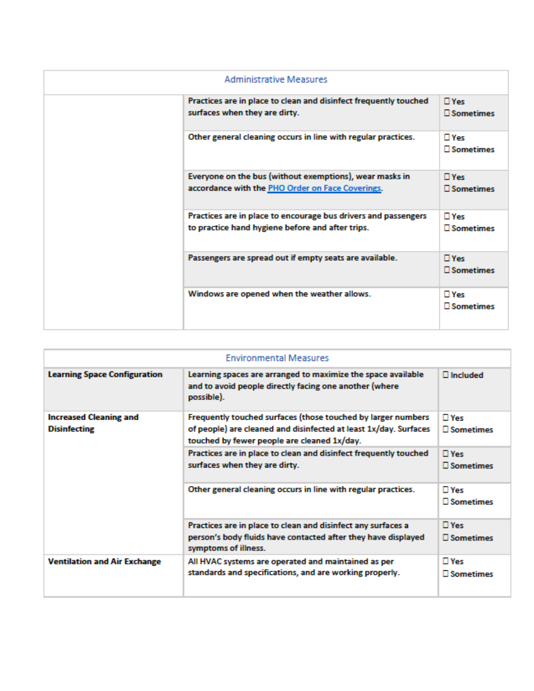| <b>Administrative Measures</b> |                                                                                                                    |                                      |
|--------------------------------|--------------------------------------------------------------------------------------------------------------------|--------------------------------------|
|                                | Practices are in place to clean and disinfect frequently touched<br>surfaces when they are dirty.                  | $\Box$ Yes<br>□ Sometimes            |
|                                | Other general cleaning occurs in line with regular practices.                                                      | $\Box$ Yes<br><b>Nometimes</b>       |
|                                | Everyone on the bus (without exemptions), wear masks in<br>accordance with the PHO Order on Face Coverings.        | $\Box$ Yes<br>$\square$ Sometimes    |
|                                | Practices are in place to encourage bus drivers and passengers<br>to practice hand hygiene before and after trips. | $\Box$ Yes<br>$\square$ Sometimes    |
|                                | Passengers are spread out if empty seats are available.                                                            | $\Box$ Yes<br><b>Nometimes</b>       |
|                                | Windows are opened when the weather allows.                                                                        | $\square$ Yes<br>$\square$ Sometimes |

| <b>Environmental Measures</b>                        |                                                                                                                                                                                 |                                      |  |
|------------------------------------------------------|---------------------------------------------------------------------------------------------------------------------------------------------------------------------------------|--------------------------------------|--|
| <b>Learning Space Configuration</b>                  | Learning spaces are arranged to maximize the space available<br>and to avoid people directly facing one another (where<br>possible).                                            | $\square$ Included                   |  |
| <b>Increased Cleaning and</b><br><b>Disinfecting</b> | Frequently touched surfaces (those touched by larger numbers<br>of people) are cleaned and disinfected at least 1x/day. Surfaces<br>touched by fewer people are cleaned 1x/day. | $\square$ Yes<br><b>Nometimes</b>    |  |
|                                                      | Practices are in place to clean and disinfect frequently touched<br>surfaces when they are dirty.                                                                               | $\square$ Yes<br>$\square$ Sometimes |  |
|                                                      | Other general cleaning occurs in line with regular practices.                                                                                                                   | $\square$ Yes<br>□ Sometimes         |  |
|                                                      | Practices are in place to clean and disinfect any surfaces a<br>person's body fluids have contacted after they have displayed<br>symptoms of illness.                           | $\square$ Yes<br>$\square$ Sometimes |  |
| <b>Ventilation and Air Exchange</b>                  | All HVAC systems are operated and maintained as per<br>standards and specifications, and are working properly.                                                                  | $\square$ Yes<br><b>Nometimes</b>    |  |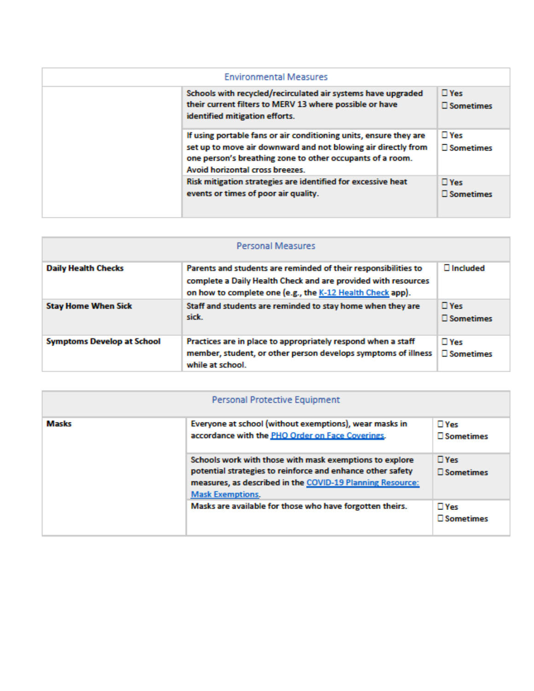| <b>Environmental Measures</b> |                                                                                                                                                                                                                                    |                              |  |
|-------------------------------|------------------------------------------------------------------------------------------------------------------------------------------------------------------------------------------------------------------------------------|------------------------------|--|
|                               | Schools with recycled/recirculated air systems have upgraded<br>their current filters to MERV 13 where possible or have<br>identified mitigation efforts.                                                                          | $\square$ Yes<br>□ Sometimes |  |
|                               | If using portable fans or air conditioning units, ensure they are<br>set up to move air downward and not blowing air directly from<br>one person's breathing zone to other occupants of a room.<br>Avoid horizontal cross breezes. | $\square$ Yes<br>□ Sometimes |  |
|                               | Risk mitigation strategies are identified for excessive heat<br>events or times of poor air quality.                                                                                                                               | $\square$ Yes<br>□ Sometimes |  |

| <b>Personal Measures</b>          |                                                                                                                                                                                              |                              |  |
|-----------------------------------|----------------------------------------------------------------------------------------------------------------------------------------------------------------------------------------------|------------------------------|--|
| <b>Daily Health Checks</b>        | Parents and students are reminded of their responsibilities to<br>complete a Daily Health Check and are provided with resources<br>on how to complete one (e.g., the K-12 Health Check app). | $\Box$ Included              |  |
| <b>Stay Home When Sick</b>        | Staff and students are reminded to stay home when they are<br>sick.                                                                                                                          | $\Box$ Yes<br>□ Sometimes    |  |
| <b>Symptoms Develop at School</b> | Practices are in place to appropriately respond when a staff<br>member, student, or other person develops symptoms of illness<br>while at school.                                            | $\square$ Yes<br>□ Sometimes |  |

| Personal Protective Equipment |                                                                                                                                                                                                               |                                      |  |
|-------------------------------|---------------------------------------------------------------------------------------------------------------------------------------------------------------------------------------------------------------|--------------------------------------|--|
| <b>Masks</b>                  | Everyone at school (without exemptions), wear masks in<br>accordance with the PHO Order on Face Coverings.                                                                                                    | $\Box$ Yes<br>$\square$ Sometimes    |  |
|                               | Schools work with those with mask exemptions to explore<br>potential strategies to reinforce and enhance other safety<br>measures, as described in the COVID-19 Planning Resource:<br><b>Mask Exemptions.</b> | $\Box$ Yes<br>$\square$ Sometimes    |  |
|                               | Masks are available for those who have forgotten theirs.                                                                                                                                                      | $\square$ Yes<br>$\square$ Sometimes |  |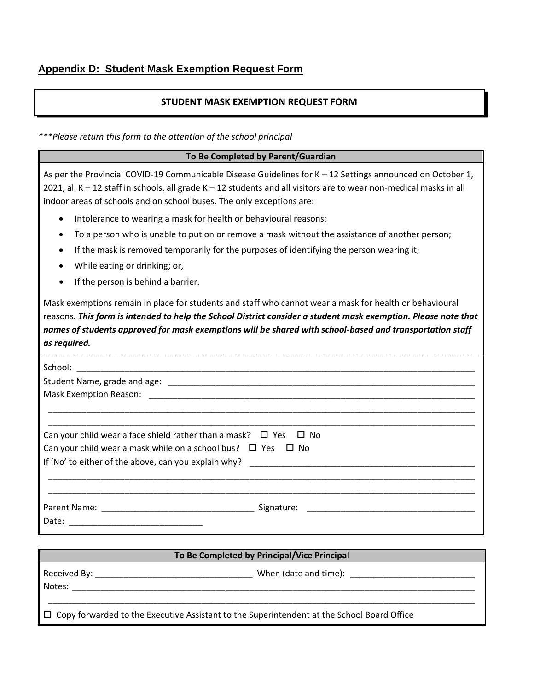#### **STUDENT MASK EXEMPTION REQUEST FORM**

<span id="page-23-0"></span>*\*\*\*Please return this form to the attention of the school principal*

| To Be Completed by Parent/Guardian                                                                                                                                                                                                                                                                                                                    |
|-------------------------------------------------------------------------------------------------------------------------------------------------------------------------------------------------------------------------------------------------------------------------------------------------------------------------------------------------------|
| As per the Provincial COVID-19 Communicable Disease Guidelines for K - 12 Settings announced on October 1,<br>2021, all K - 12 staff in schools, all grade K - 12 students and all visitors are to wear non-medical masks in all<br>indoor areas of schools and on school buses. The only exceptions are:                                             |
| Intolerance to wearing a mask for health or behavioural reasons;<br>$\bullet$                                                                                                                                                                                                                                                                         |
| To a person who is unable to put on or remove a mask without the assistance of another person;                                                                                                                                                                                                                                                        |
| If the mask is removed temporarily for the purposes of identifying the person wearing it;<br>While eating or drinking; or,<br>If the person is behind a barrier.<br>$\bullet$                                                                                                                                                                         |
| Mask exemptions remain in place for students and staff who cannot wear a mask for health or behavioural<br>reasons. This form is intended to help the School District consider a student mask exemption. Please note that<br>names of students approved for mask exemptions will be shared with school-based and transportation staff<br>as required. |
|                                                                                                                                                                                                                                                                                                                                                       |
|                                                                                                                                                                                                                                                                                                                                                       |
| Can your child wear a face shield rather than a mask? $\Box$ Yes $\Box$ No                                                                                                                                                                                                                                                                            |
| Can your child wear a mask while on a school bus? $\Box$ Yes $\Box$ No<br>If 'No' to either of the above, can you explain why? The contract of the contract of the above, can you explain                                                                                                                                                             |
|                                                                                                                                                                                                                                                                                                                                                       |
|                                                                                                                                                                                                                                                                                                                                                       |
|                                                                                                                                                                                                                                                                                                                                                       |
|                                                                                                                                                                                                                                                                                                                                                       |

| To Be Completed by Principal/Vice Principal                                                                                                                                                                                              |  |  |
|------------------------------------------------------------------------------------------------------------------------------------------------------------------------------------------------------------------------------------------|--|--|
| Received By: the contract of the contract of the contract of the contract of the contract of the contract of the contract of the contract of the contract of the contract of the contract of the contract of the contract of t<br>Notes: |  |  |
| $\Box$ Copy forwarded to the Executive Assistant to the Superintendent at the School Board Office                                                                                                                                        |  |  |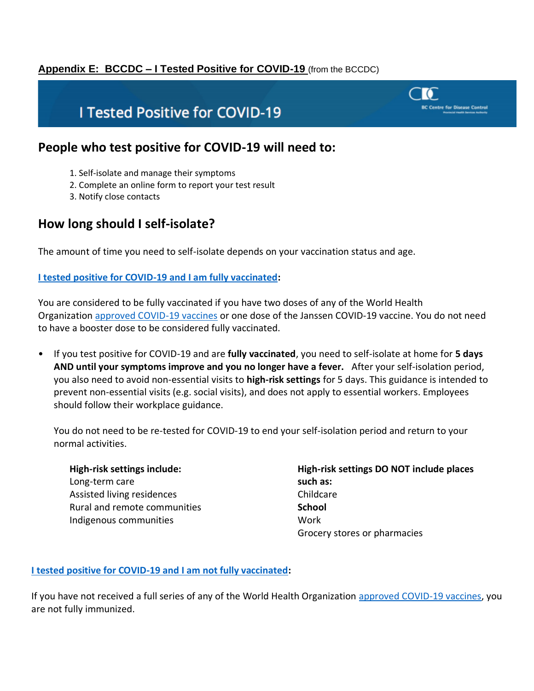### <span id="page-24-0"></span>**Appendix E: BCCDC – I Tested Positive for COVID-19** (from the BCCDC)

# **I Tested Positive for COVID-19**

### **People who test positive for COVID-19 will need to:**

- 1. Self-isolate and manage their symptoms
- 2. Complete an online form to report your test result
- 3. Notify close contacts

# **How long should I self-isolate?**

The amount of time you need to self-isolate depends on your vaccination status and age.

#### **[I tested positive for COVID-19 and I am fully vaccinated:](http://www.bccdc.ca/health-info/diseases-conditions/covid-19/self-isolation#8627)**

You are considered to be fully vaccinated if you have two doses of any of the World Health Organization [approved COVID-19 vaccines](http://www.bccdc.ca/Health-Info-Site/Documents/COVID-19_vaccine/WHO-EUA-qualified-covid-vaccines.pdf) or one dose of the Janssen COVID-19 vaccine. You do not need to have a booster dose to be considered fully vaccinated.

• If you test positive for COVID-19 and are **fully vaccinated**, you need to self-isolate at home for **5 days AND until your symptoms improve and you no longer have a fever.** After your self-isolation period, you also need to avoid non-essential visits to **high-risk settings** for 5 days. This guidance is intended to prevent non-essential visits (e.g. social visits), and does not apply to essential workers. Employees should follow their workplace guidance.

You do not need to be re-tested for COVID-19 to end your self-isolation period and return to your normal activities.

| High-risk settings include:  |  |
|------------------------------|--|
| Long-term care               |  |
| Assisted living residences   |  |
| Rural and remote communities |  |
| Indigenous communities       |  |

#### **High-risk settings DO NOT include places such as:** Childcare **School** Work Grocery stores or pharmacies

#### **[I tested positive for COVID-19 and I am not fully vaccinated:](http://www.bccdc.ca/health-info/diseases-conditions/covid-19/self-isolation#5603)**

If you have not received a full series of any of the World Health Organization [approved COVID-19 vaccines,](http://www.bccdc.ca/Health-Info-Site/Documents/COVID-19_vaccine/WHO-EUA-qualified-covid-vaccines.pdf) you are not fully immunized.

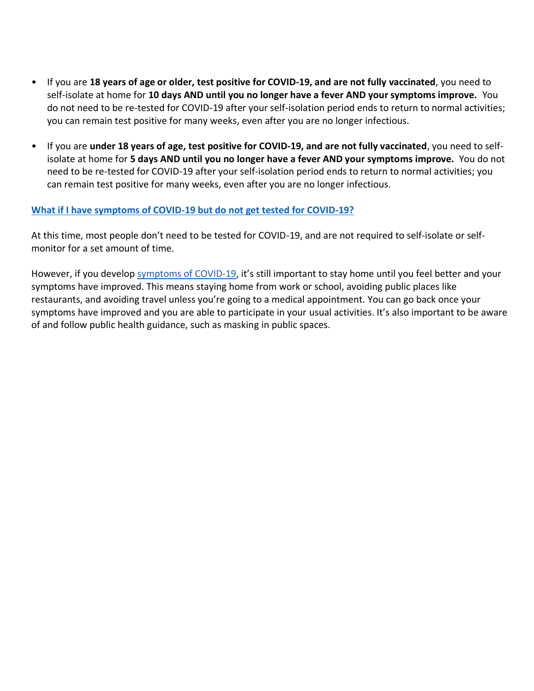- If you are **18 years of age or older, test positive for COVID-19, and are not fully vaccinated**, you need to self-isolate at home for **10 days AND until you no longer have a fever AND your symptoms improve.** You do not need to be re-tested for COVID-19 after your self-isolation period ends to return to normal activities; you can remain test positive for many weeks, even after you are no longer infectious.
- If you are **under 18 years of age, test positive for COVID-19, and are not fully vaccinated**, you need to selfisolate at home for **5 days AND until you no longer have a fever AND your symptoms improve.** You do not need to be re-tested for COVID-19 after your self-isolation period ends to return to normal activities; you can remain test positive for many weeks, even after you are no longer infectious.

#### **[What if I have symptoms of COVID-19 but do not get tested for COVID-19?](http://www.bccdc.ca/health-info/diseases-conditions/covid-19/self-isolation#3590)**

At this time, most people don't need to be tested for COVID-19, and are not required to self-isolate or selfmonitor for a set amount of time.

However, if you develop [symptoms of COVID-19](http://www.bccdc.ca/health-info/diseases-conditions/covid-19/about-covid-19/symptoms), it's still important to stay home until you feel better and your symptoms have improved. This means staying home from work or school, avoiding public places like restaurants, and avoiding travel unless you're going to a medical appointment. You can go back once your symptoms have improved and you are able to participate in your usual activities. It's also important to be aware of and follow public health guidance, such as masking in public spaces.